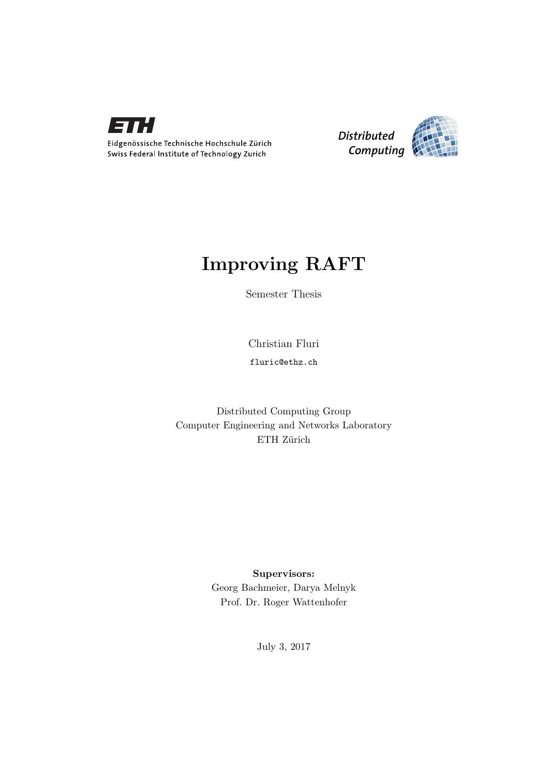



# Improving RAFT

Semester Thesis

Christian Fluri

fluric@ethz.ch

Distributed Computing Group Computer Engineering and Networks Laboratory ETH Zürich

> Supervisors: Georg Bachmeier, Darya Melnyk Prof. Dr. Roger Wattenhofer

> > July 3, 2017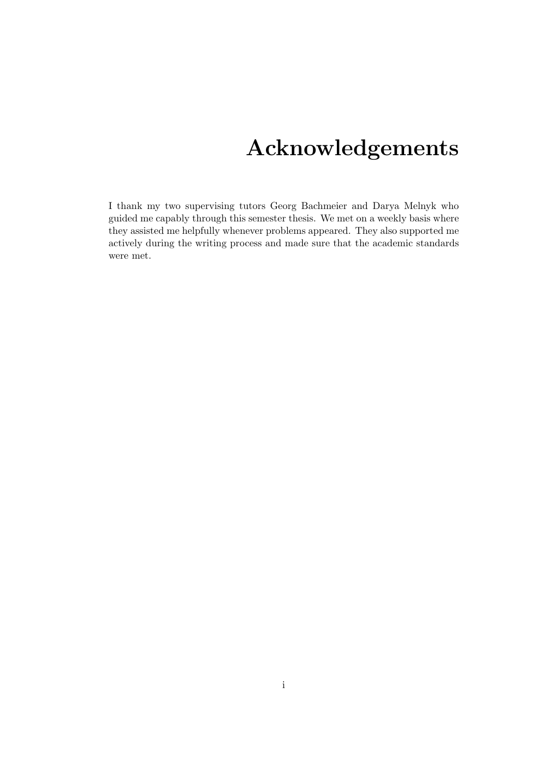# Acknowledgements

<span id="page-1-0"></span>I thank my two supervising tutors Georg Bachmeier and Darya Melnyk who guided me capably through this semester thesis. We met on a weekly basis where they assisted me helpfully whenever problems appeared. They also supported me actively during the writing process and made sure that the academic standards were met.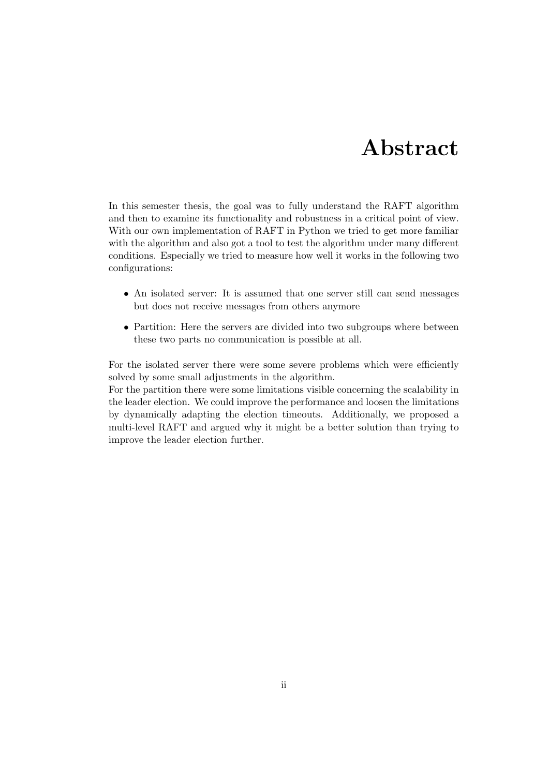# Abstract

<span id="page-2-0"></span>In this semester thesis, the goal was to fully understand the RAFT algorithm and then to examine its functionality and robustness in a critical point of view. With our own implementation of RAFT in Python we tried to get more familiar with the algorithm and also got a tool to test the algorithm under many different conditions. Especially we tried to measure how well it works in the following two configurations:

- An isolated server: It is assumed that one server still can send messages but does not receive messages from others anymore
- Partition: Here the servers are divided into two subgroups where between these two parts no communication is possible at all.

For the isolated server there were some severe problems which were efficiently solved by some small adjustments in the algorithm.

For the partition there were some limitations visible concerning the scalability in the leader election. We could improve the performance and loosen the limitations by dynamically adapting the election timeouts. Additionally, we proposed a multi-level RAFT and argued why it might be a better solution than trying to improve the leader election further.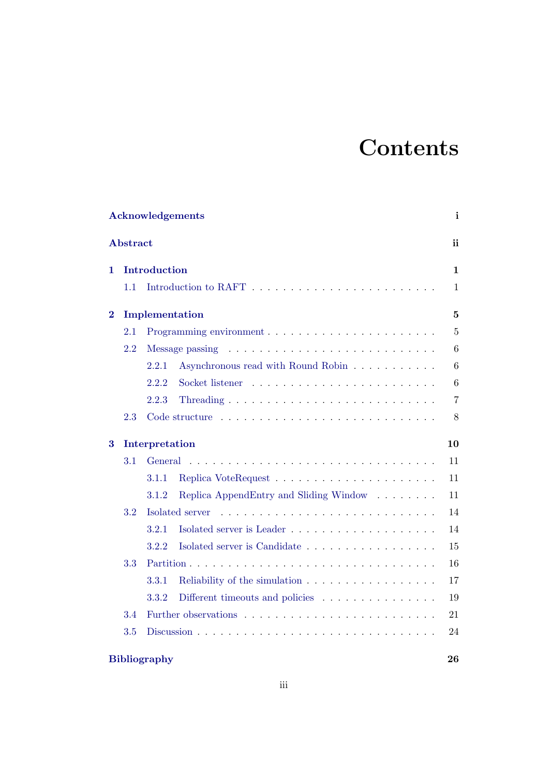# **Contents**

| Acknowledgements |                 |                                                                               |                |  |  |  |  |  |
|------------------|-----------------|-------------------------------------------------------------------------------|----------------|--|--|--|--|--|
|                  | <b>Abstract</b> |                                                                               | ii             |  |  |  |  |  |
| 1.               |                 | Introduction                                                                  | $\mathbf 1$    |  |  |  |  |  |
|                  | 1.1             |                                                                               | $\mathbf{1}$   |  |  |  |  |  |
| $\overline{2}$   |                 | Implementation                                                                | $\overline{5}$ |  |  |  |  |  |
|                  | 2.1             |                                                                               | $\overline{5}$ |  |  |  |  |  |
|                  | 2.2             | Message passing                                                               | 6              |  |  |  |  |  |
|                  |                 | Asynchronous read with Round Robin<br>2.2.1                                   | 6              |  |  |  |  |  |
|                  |                 | 2.2.2                                                                         | 6              |  |  |  |  |  |
|                  |                 | 2.2.3                                                                         | $\overline{7}$ |  |  |  |  |  |
|                  | 2.3             |                                                                               | 8              |  |  |  |  |  |
| 3                |                 | Interpretation                                                                | 10             |  |  |  |  |  |
|                  | 3.1             | General                                                                       | 11             |  |  |  |  |  |
|                  |                 | 3.1.1                                                                         | 11             |  |  |  |  |  |
|                  |                 | 3.1.2<br>Replica AppendEntry and Sliding Window                               | 11             |  |  |  |  |  |
|                  | 3.2             | Isolated server                                                               | 14             |  |  |  |  |  |
|                  |                 | 3.2.1                                                                         | 14             |  |  |  |  |  |
|                  |                 | 3.2.2<br>Isolated server is Candidate                                         | 15             |  |  |  |  |  |
|                  | 3.3             |                                                                               | 16             |  |  |  |  |  |
|                  |                 | 3.3.1<br>Reliability of the simulation                                        | 17             |  |  |  |  |  |
|                  |                 | 3.3.2<br>Different timeouts and policies $\ldots \ldots \ldots \ldots \ldots$ | 19             |  |  |  |  |  |
|                  | 3.4             |                                                                               | 21             |  |  |  |  |  |
|                  | 3.5             | Discussion $\ldots$<br>.<br>$\sim$                                            | 24             |  |  |  |  |  |
|                  |                 |                                                                               |                |  |  |  |  |  |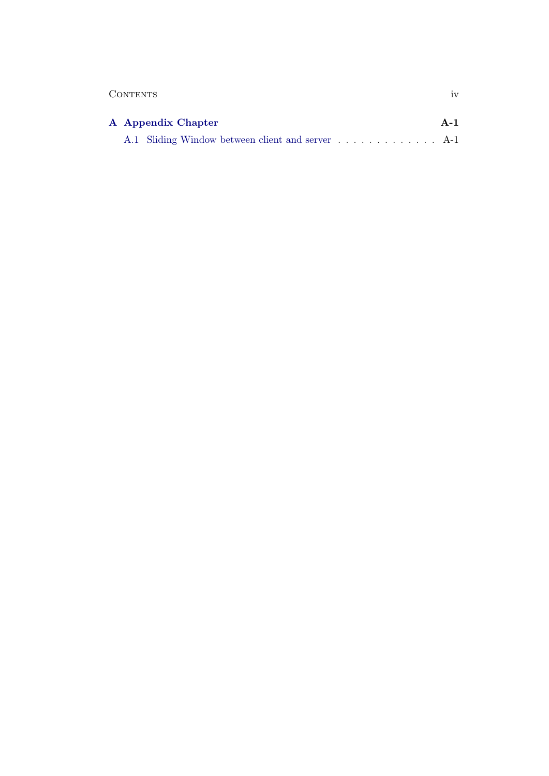| 1 <sub>1</sub> |
|----------------|
|                |

| A Appendix Chapter |                                                   |  |  |  |  |  |  |  |  |  |  |  |  |  |  |  |
|--------------------|---------------------------------------------------|--|--|--|--|--|--|--|--|--|--|--|--|--|--|--|
|                    | A.1 Sliding Window between client and server  A-1 |  |  |  |  |  |  |  |  |  |  |  |  |  |  |  |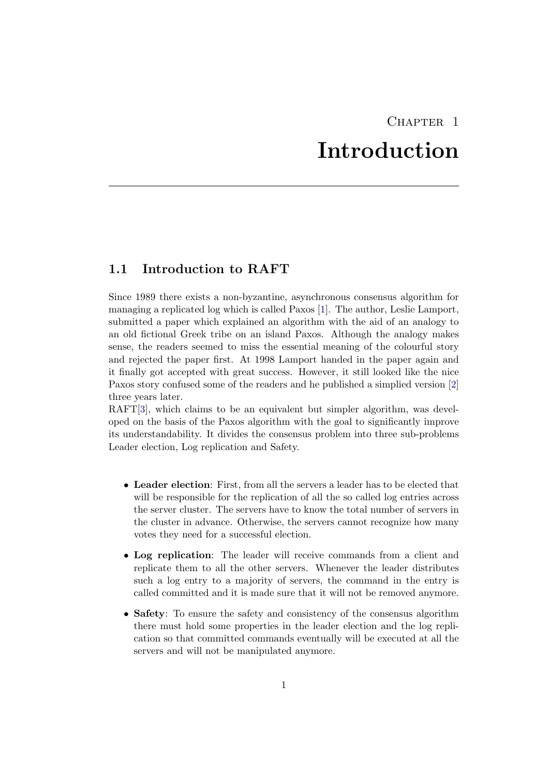# CHAPTER<sub>1</sub> Introduction

# <span id="page-5-1"></span><span id="page-5-0"></span>1.1 Introduction to RAFT

Since 1989 there exists a non-byzantine, asynchronous consensus algorithm for managing a replicated log which is called Paxos [\[1\]](#page-30-1). The author, Leslie Lamport, submitted a paper which explained an algorithm with the aid of an analogy to an old fictional Greek tribe on an island Paxos. Although the analogy makes sense, the readers seemed to miss the essential meaning of the colourful story and rejected the paper first. At 1998 Lamport handed in the paper again and it finally got accepted with great success. However, it still looked like the nice Paxos story confused some of the readers and he published a simplied version [\[2\]](#page-30-2) three years later.

RAFT[\[3\]](#page-30-3), which claims to be an equivalent but simpler algorithm, was developed on the basis of the Paxos algorithm with the goal to significantly improve its understandability. It divides the consensus problem into three sub-problems Leader election, Log replication and Safety.

- Leader election: First, from all the servers a leader has to be elected that will be responsible for the replication of all the so called log entries across the server cluster. The servers have to know the total number of servers in the cluster in advance. Otherwise, the servers cannot recognize how many votes they need for a successful election.
- Log replication: The leader will receive commands from a client and replicate them to all the other servers. Whenever the leader distributes such a log entry to a majority of servers, the command in the entry is called committed and it is made sure that it will not be removed anymore.
- Safety: To ensure the safety and consistency of the consensus algorithm there must hold some properties in the leader election and the log replication so that committed commands eventually will be executed at all the servers and will not be manipulated anymore.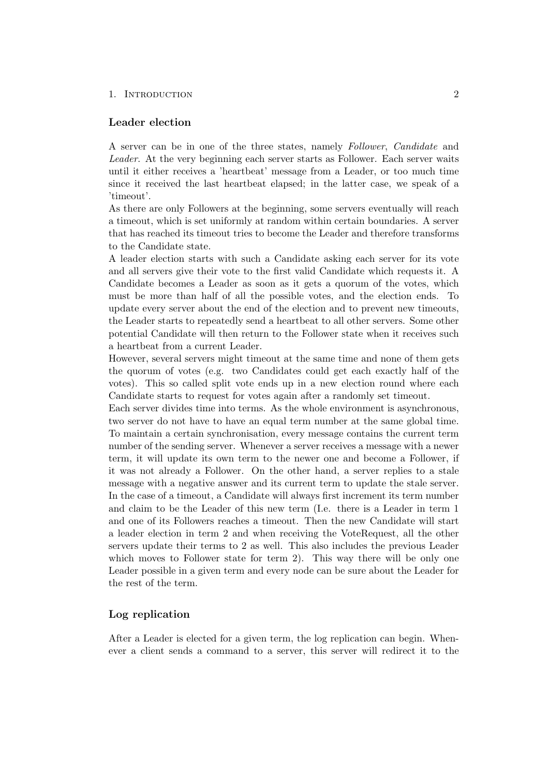#### 1. INTRODUCTION 2

### Leader election

A server can be in one of the three states, namely Follower, Candidate and Leader. At the very beginning each server starts as Follower. Each server waits until it either receives a 'heartbeat' message from a Leader, or too much time since it received the last heartbeat elapsed; in the latter case, we speak of a 'timeout'.

As there are only Followers at the beginning, some servers eventually will reach a timeout, which is set uniformly at random within certain boundaries. A server that has reached its timeout tries to become the Leader and therefore transforms to the Candidate state.

A leader election starts with such a Candidate asking each server for its vote and all servers give their vote to the first valid Candidate which requests it. A Candidate becomes a Leader as soon as it gets a quorum of the votes, which must be more than half of all the possible votes, and the election ends. To update every server about the end of the election and to prevent new timeouts, the Leader starts to repeatedly send a heartbeat to all other servers. Some other potential Candidate will then return to the Follower state when it receives such a heartbeat from a current Leader.

However, several servers might timeout at the same time and none of them gets the quorum of votes (e.g. two Candidates could get each exactly half of the votes). This so called split vote ends up in a new election round where each Candidate starts to request for votes again after a randomly set timeout.

Each server divides time into terms. As the whole environment is asynchronous, two server do not have to have an equal term number at the same global time. To maintain a certain synchronisation, every message contains the current term number of the sending server. Whenever a server receives a message with a newer term, it will update its own term to the newer one and become a Follower, if it was not already a Follower. On the other hand, a server replies to a stale message with a negative answer and its current term to update the stale server. In the case of a timeout, a Candidate will always first increment its term number and claim to be the Leader of this new term (I.e. there is a Leader in term 1 and one of its Followers reaches a timeout. Then the new Candidate will start a leader election in term 2 and when receiving the VoteRequest, all the other servers update their terms to 2 as well. This also includes the previous Leader which moves to Follower state for term 2). This way there will be only one Leader possible in a given term and every node can be sure about the Leader for the rest of the term.

### Log replication

After a Leader is elected for a given term, the log replication can begin. Whenever a client sends a command to a server, this server will redirect it to the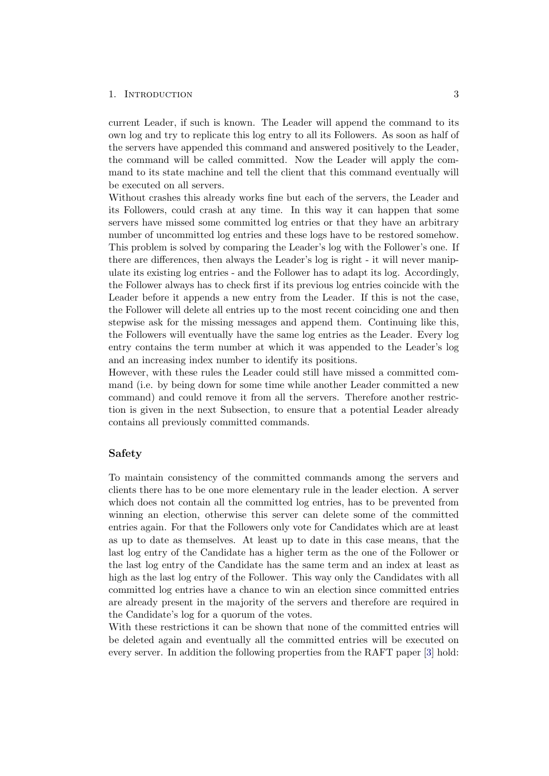#### 1. INTRODUCTION 3

current Leader, if such is known. The Leader will append the command to its own log and try to replicate this log entry to all its Followers. As soon as half of the servers have appended this command and answered positively to the Leader, the command will be called committed. Now the Leader will apply the command to its state machine and tell the client that this command eventually will be executed on all servers.

Without crashes this already works fine but each of the servers, the Leader and its Followers, could crash at any time. In this way it can happen that some servers have missed some committed log entries or that they have an arbitrary number of uncommitted log entries and these logs have to be restored somehow. This problem is solved by comparing the Leader's log with the Follower's one. If there are differences, then always the Leader's log is right - it will never manipulate its existing log entries - and the Follower has to adapt its log. Accordingly, the Follower always has to check first if its previous log entries coincide with the Leader before it appends a new entry from the Leader. If this is not the case, the Follower will delete all entries up to the most recent coinciding one and then stepwise ask for the missing messages and append them. Continuing like this, the Followers will eventually have the same log entries as the Leader. Every log entry contains the term number at which it was appended to the Leader's log and an increasing index number to identify its positions.

However, with these rules the Leader could still have missed a committed command (i.e. by being down for some time while another Leader committed a new command) and could remove it from all the servers. Therefore another restriction is given in the next Subsection, to ensure that a potential Leader already contains all previously committed commands.

### Safety

To maintain consistency of the committed commands among the servers and clients there has to be one more elementary rule in the leader election. A server which does not contain all the committed log entries, has to be prevented from winning an election, otherwise this server can delete some of the committed entries again. For that the Followers only vote for Candidates which are at least as up to date as themselves. At least up to date in this case means, that the last log entry of the Candidate has a higher term as the one of the Follower or the last log entry of the Candidate has the same term and an index at least as high as the last log entry of the Follower. This way only the Candidates with all committed log entries have a chance to win an election since committed entries are already present in the majority of the servers and therefore are required in the Candidate's log for a quorum of the votes.

With these restrictions it can be shown that none of the committed entries will be deleted again and eventually all the committed entries will be executed on every server. In addition the following properties from the RAFT paper [\[3\]](#page-30-3) hold: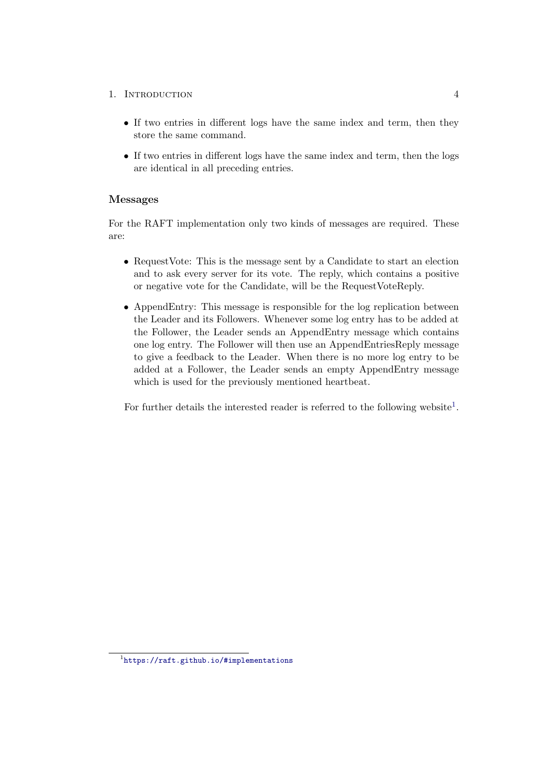## 1. INTRODUCTION 4

- If two entries in different logs have the same index and term, then they store the same command.
- If two entries in different logs have the same index and term, then the logs are identical in all preceding entries.

## Messages

For the RAFT implementation only two kinds of messages are required. These are:

- RequestVote: This is the message sent by a Candidate to start an election and to ask every server for its vote. The reply, which contains a positive or negative vote for the Candidate, will be the RequestVoteReply.
- AppendEntry: This message is responsible for the log replication between the Leader and its Followers. Whenever some log entry has to be added at the Follower, the Leader sends an AppendEntry message which contains one log entry. The Follower will then use an AppendEntriesReply message to give a feedback to the Leader. When there is no more log entry to be added at a Follower, the Leader sends an empty AppendEntry message which is used for the previously mentioned heartbeat.

For further details the interested reader is referred to the following website<sup>[1](#page-8-0)</sup>.

<span id="page-8-0"></span><sup>1</sup> <https://raft.github.io/#implementations>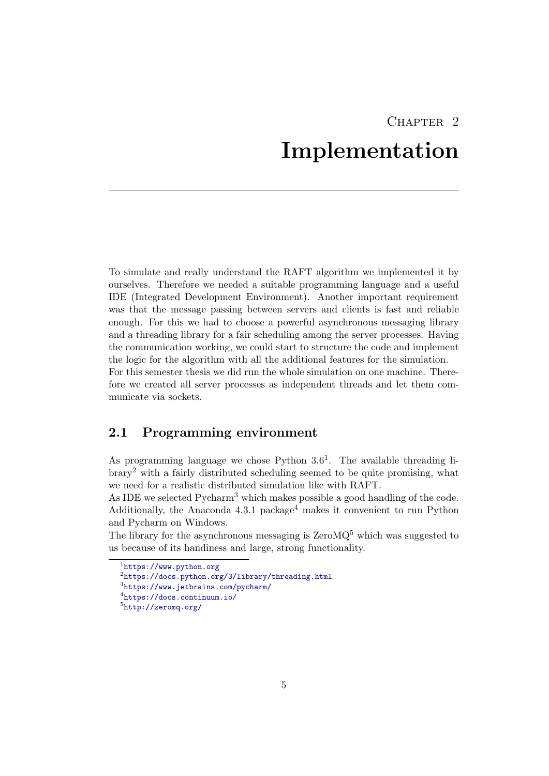# $CHAPTER$  2 Implementation

<span id="page-9-0"></span>To simulate and really understand the RAFT algorithm we implemented it by ourselves. Therefore we needed a suitable programming language and a useful IDE (Integrated Development Environment). Another important requirement was that the message passing between servers and clients is fast and reliable enough. For this we had to choose a powerful asynchronous messaging library and a threading library for a fair scheduling among the server processes. Having the communication working, we could start to structure the code and implement the logic for the algorithm with all the additional features for the simulation. For this semester thesis we did run the whole simulation on one machine. Therefore we created all server processes as independent threads and let them communicate via sockets.

## <span id="page-9-1"></span>2.1 Programming environment

As programming language we chose Python  $3.6<sup>1</sup>$  $3.6<sup>1</sup>$  $3.6<sup>1</sup>$ . The available threading library[2](#page-9-3) with a fairly distributed scheduling seemed to be quite promising, what we need for a realistic distributed simulation like with RAFT.

As IDE we selected Pycharm<sup>[3](#page-9-4)</sup> which makes possible a good handling of the code. Additionally, the Anaconda  $4.3.1$  $4.3.1$  package<sup>4</sup> makes it convenient to run Python and Pycharm on Windows.

The library for the asynchronous messaging is  $\text{ZeroMQ}^5$  $\text{ZeroMQ}^5$  which was suggested to us because of its handiness and large, strong functionality.

<span id="page-9-2"></span><sup>1</sup> <https://www.python.org>

<span id="page-9-3"></span> $^2$ https://docs.python.org/ $3/1$ ibrary/threading.html

<span id="page-9-4"></span> $3$ <https://www.jetbrains.com/pycharm/>

<span id="page-9-5"></span><sup>4</sup> <https://docs.continuum.io/>

<span id="page-9-6"></span><sup>5</sup> <http://zeromq.org/>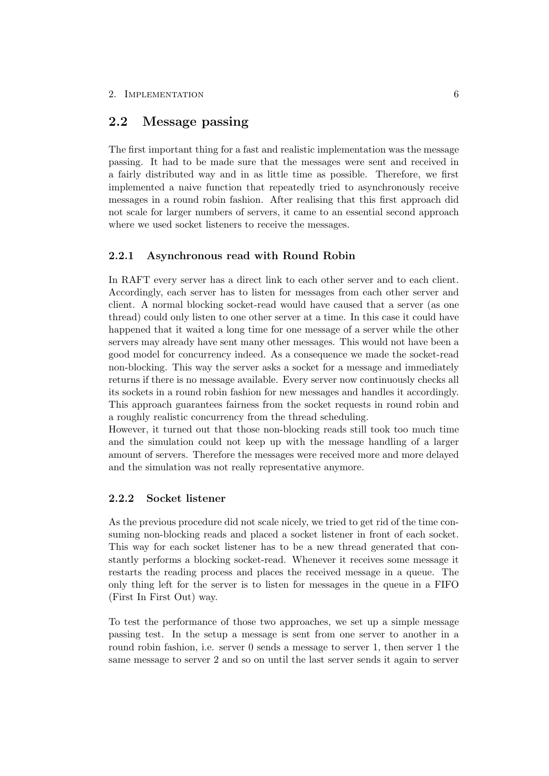# <span id="page-10-0"></span>2.2 Message passing

The first important thing for a fast and realistic implementation was the message passing. It had to be made sure that the messages were sent and received in a fairly distributed way and in as little time as possible. Therefore, we first implemented a naive function that repeatedly tried to asynchronously receive messages in a round robin fashion. After realising that this first approach did not scale for larger numbers of servers, it came to an essential second approach where we used socket listeners to receive the messages.

## <span id="page-10-1"></span>2.2.1 Asynchronous read with Round Robin

In RAFT every server has a direct link to each other server and to each client. Accordingly, each server has to listen for messages from each other server and client. A normal blocking socket-read would have caused that a server (as one thread) could only listen to one other server at a time. In this case it could have happened that it waited a long time for one message of a server while the other servers may already have sent many other messages. This would not have been a good model for concurrency indeed. As a consequence we made the socket-read non-blocking. This way the server asks a socket for a message and immediately returns if there is no message available. Every server now continuously checks all its sockets in a round robin fashion for new messages and handles it accordingly. This approach guarantees fairness from the socket requests in round robin and a roughly realistic concurrency from the thread scheduling.

However, it turned out that those non-blocking reads still took too much time and the simulation could not keep up with the message handling of a larger amount of servers. Therefore the messages were received more and more delayed and the simulation was not really representative anymore.

## <span id="page-10-2"></span>2.2.2 Socket listener

As the previous procedure did not scale nicely, we tried to get rid of the time consuming non-blocking reads and placed a socket listener in front of each socket. This way for each socket listener has to be a new thread generated that constantly performs a blocking socket-read. Whenever it receives some message it restarts the reading process and places the received message in a queue. The only thing left for the server is to listen for messages in the queue in a FIFO (First In First Out) way.

To test the performance of those two approaches, we set up a simple message passing test. In the setup a message is sent from one server to another in a round robin fashion, i.e. server 0 sends a message to server 1, then server 1 the same message to server 2 and so on until the last server sends it again to server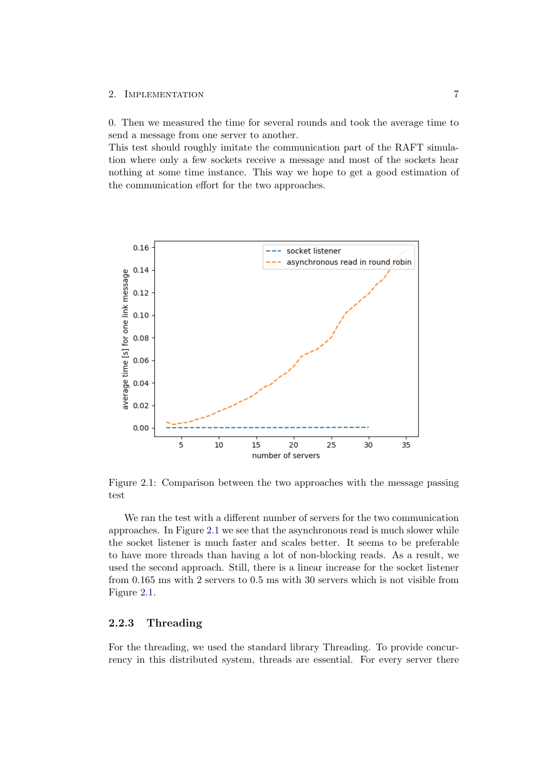#### 2. IMPLEMENTATION 7

0. Then we measured the time for several rounds and took the average time to send a message from one server to another.

This test should roughly imitate the communication part of the RAFT simulation where only a few sockets receive a message and most of the sockets hear nothing at some time instance. This way we hope to get a good estimation of the communication effort for the two approaches.



<span id="page-11-1"></span>Figure 2.1: Comparison between the two approaches with the message passing test

We ran the test with a different number of servers for the two communication approaches. In Figure [2.1](#page-11-1) we see that the asynchronous read is much slower while the socket listener is much faster and scales better. It seems to be preferable to have more threads than having a lot of non-blocking reads. As a result, we used the second approach. Still, there is a linear increase for the socket listener from 0.165 ms with 2 servers to 0.5 ms with 30 servers which is not visible from Figure [2.1.](#page-11-1)

## <span id="page-11-0"></span>2.2.3 Threading

For the threading, we used the standard library Threading. To provide concurrency in this distributed system, threads are essential. For every server there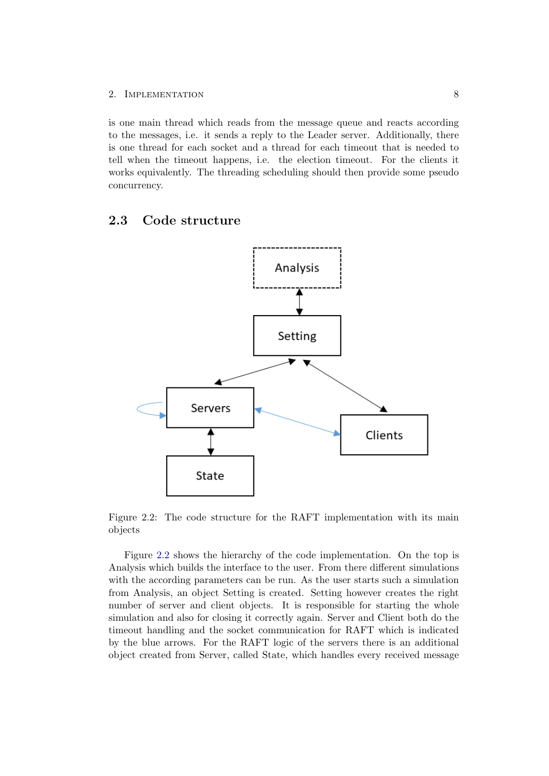### 2. IMPLEMENTATION 8

is one main thread which reads from the message queue and reacts according to the messages, i.e. it sends a reply to the Leader server. Additionally, there is one thread for each socket and a thread for each timeout that is needed to tell when the timeout happens, i.e. the election timeout. For the clients it works equivalently. The threading scheduling should then provide some pseudo concurrency.

## <span id="page-12-0"></span>2.3 Code structure



<span id="page-12-1"></span>Figure 2.2: The code structure for the RAFT implementation with its main objects

Figure [2.2](#page-12-1) shows the hierarchy of the code implementation. On the top is Analysis which builds the interface to the user. From there different simulations with the according parameters can be run. As the user starts such a simulation from Analysis, an object Setting is created. Setting however creates the right number of server and client objects. It is responsible for starting the whole simulation and also for closing it correctly again. Server and Client both do the timeout handling and the socket communication for RAFT which is indicated by the blue arrows. For the RAFT logic of the servers there is an additional object created from Server, called State, which handles every received message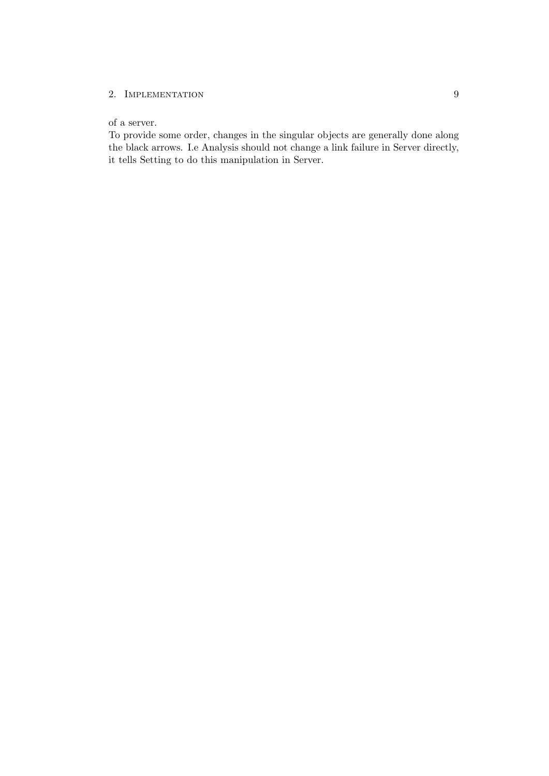## 2. IMPLEMENTATION 9

## of a server.

To provide some order, changes in the singular objects are generally done along the black arrows. I.e Analysis should not change a link failure in Server directly, it tells Setting to do this manipulation in Server.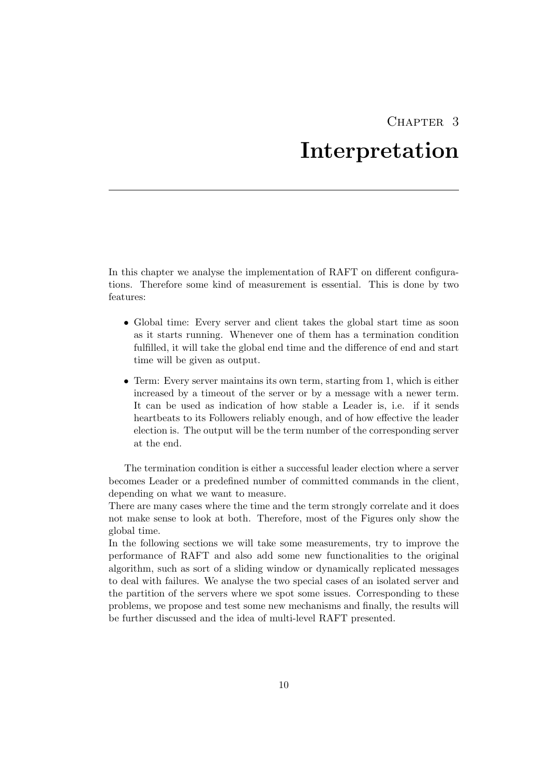# CHAPTER 3 Interpretation

<span id="page-14-0"></span>In this chapter we analyse the implementation of RAFT on different configurations. Therefore some kind of measurement is essential. This is done by two features:

- Global time: Every server and client takes the global start time as soon as it starts running. Whenever one of them has a termination condition fulfilled, it will take the global end time and the difference of end and start time will be given as output.
- Term: Every server maintains its own term, starting from 1, which is either increased by a timeout of the server or by a message with a newer term. It can be used as indication of how stable a Leader is, i.e. if it sends heartbeats to its Followers reliably enough, and of how effective the leader election is. The output will be the term number of the corresponding server at the end.

The termination condition is either a successful leader election where a server becomes Leader or a predefined number of committed commands in the client, depending on what we want to measure.

There are many cases where the time and the term strongly correlate and it does not make sense to look at both. Therefore, most of the Figures only show the global time.

In the following sections we will take some measurements, try to improve the performance of RAFT and also add some new functionalities to the original algorithm, such as sort of a sliding window or dynamically replicated messages to deal with failures. We analyse the two special cases of an isolated server and the partition of the servers where we spot some issues. Corresponding to these problems, we propose and test some new mechanisms and finally, the results will be further discussed and the idea of multi-level RAFT presented.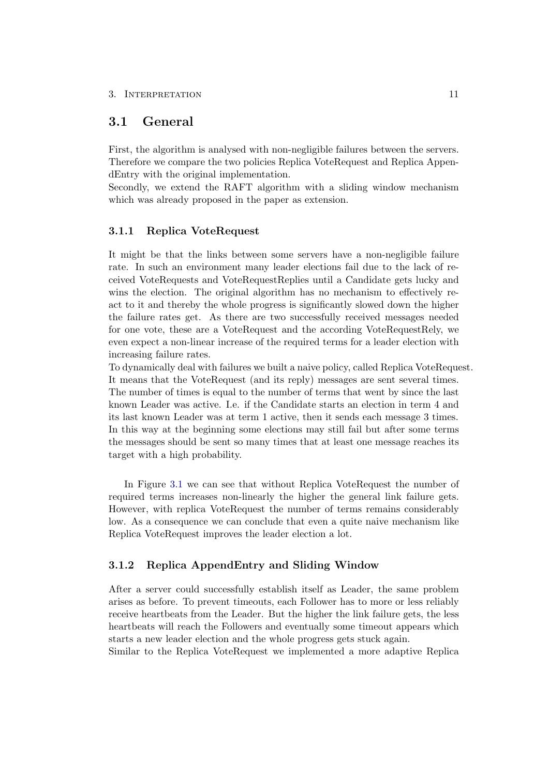# <span id="page-15-0"></span>3.1 General

First, the algorithm is analysed with non-negligible failures between the servers. Therefore we compare the two policies Replica VoteRequest and Replica AppendEntry with the original implementation.

Secondly, we extend the RAFT algorithm with a sliding window mechanism which was already proposed in the paper as extension.

### <span id="page-15-1"></span>3.1.1 Replica VoteRequest

It might be that the links between some servers have a non-negligible failure rate. In such an environment many leader elections fail due to the lack of received VoteRequests and VoteRequestReplies until a Candidate gets lucky and wins the election. The original algorithm has no mechanism to effectively react to it and thereby the whole progress is significantly slowed down the higher the failure rates get. As there are two successfully received messages needed for one vote, these are a VoteRequest and the according VoteRequestRely, we even expect a non-linear increase of the required terms for a leader election with increasing failure rates.

To dynamically deal with failures we built a naive policy, called Replica VoteRequest. It means that the VoteRequest (and its reply) messages are sent several times. The number of times is equal to the number of terms that went by since the last known Leader was active. I.e. if the Candidate starts an election in term 4 and its last known Leader was at term 1 active, then it sends each message 3 times. In this way at the beginning some elections may still fail but after some terms the messages should be sent so many times that at least one message reaches its target with a high probability.

In Figure [3.1](#page-16-0) we can see that without Replica VoteRequest the number of required terms increases non-linearly the higher the general link failure gets. However, with replica VoteRequest the number of terms remains considerably low. As a consequence we can conclude that even a quite naive mechanism like Replica VoteRequest improves the leader election a lot.

## <span id="page-15-2"></span>3.1.2 Replica AppendEntry and Sliding Window

After a server could successfully establish itself as Leader, the same problem arises as before. To prevent timeouts, each Follower has to more or less reliably receive heartbeats from the Leader. But the higher the link failure gets, the less heartbeats will reach the Followers and eventually some timeout appears which starts a new leader election and the whole progress gets stuck again.

Similar to the Replica VoteRequest we implemented a more adaptive Replica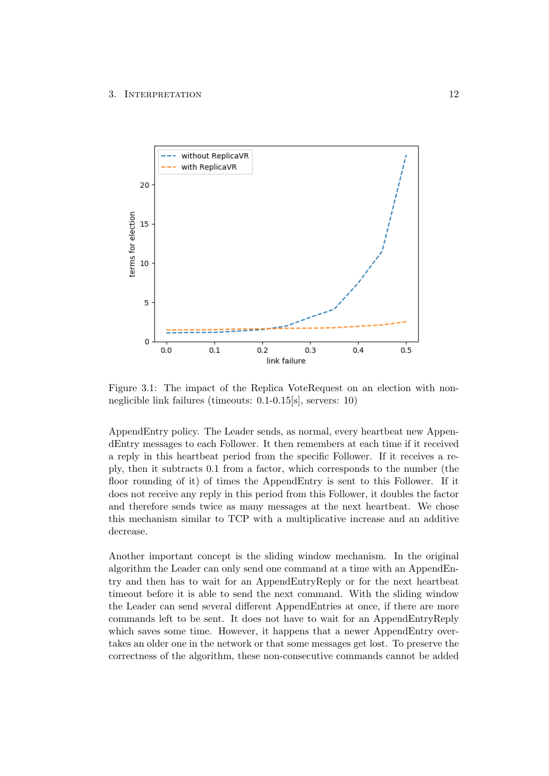

<span id="page-16-0"></span>Figure 3.1: The impact of the Replica VoteRequest on an election with nonneglicible link failures (timeouts: 0.1-0.15[s], servers: 10)

AppendEntry policy. The Leader sends, as normal, every heartbeat new AppendEntry messages to each Follower. It then remembers at each time if it received a reply in this heartbeat period from the specific Follower. If it receives a reply, then it subtracts 0.1 from a factor, which corresponds to the number (the floor rounding of it) of times the AppendEntry is sent to this Follower. If it does not receive any reply in this period from this Follower, it doubles the factor and therefore sends twice as many messages at the next heartbeat. We chose this mechanism similar to TCP with a multiplicative increase and an additive decrease.

Another important concept is the sliding window mechanism. In the original algorithm the Leader can only send one command at a time with an AppendEntry and then has to wait for an AppendEntryReply or for the next heartbeat timeout before it is able to send the next command. With the sliding window the Leader can send several different AppendEntries at once, if there are more commands left to be sent. It does not have to wait for an AppendEntryReply which saves some time. However, it happens that a newer AppendEntry overtakes an older one in the network or that some messages get lost. To preserve the correctness of the algorithm, these non-consecutive commands cannot be added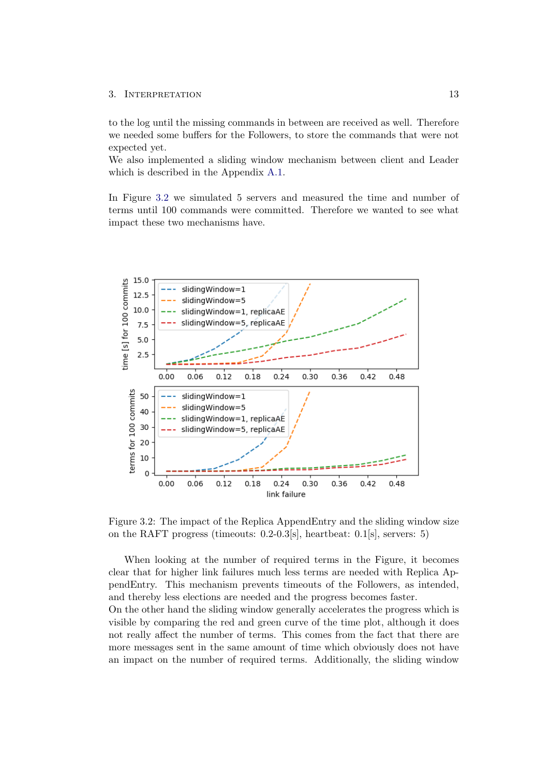to the log until the missing commands in between are received as well. Therefore we needed some buffers for the Followers, to store the commands that were not expected yet.

We also implemented a sliding window mechanism between client and Leader which is described in the Appendix [A.1.](#page-31-1)

In Figure [3.2](#page-17-0) we simulated 5 servers and measured the time and number of terms until 100 commands were committed. Therefore we wanted to see what impact these two mechanisms have.



<span id="page-17-0"></span>Figure 3.2: The impact of the Replica AppendEntry and the sliding window size on the RAFT progress (timeouts: 0.2-0.3[s], heartbeat: 0.1[s], servers: 5)

When looking at the number of required terms in the Figure, it becomes clear that for higher link failures much less terms are needed with Replica AppendEntry. This mechanism prevents timeouts of the Followers, as intended, and thereby less elections are needed and the progress becomes faster.

On the other hand the sliding window generally accelerates the progress which is visible by comparing the red and green curve of the time plot, although it does not really affect the number of terms. This comes from the fact that there are more messages sent in the same amount of time which obviously does not have an impact on the number of required terms. Additionally, the sliding window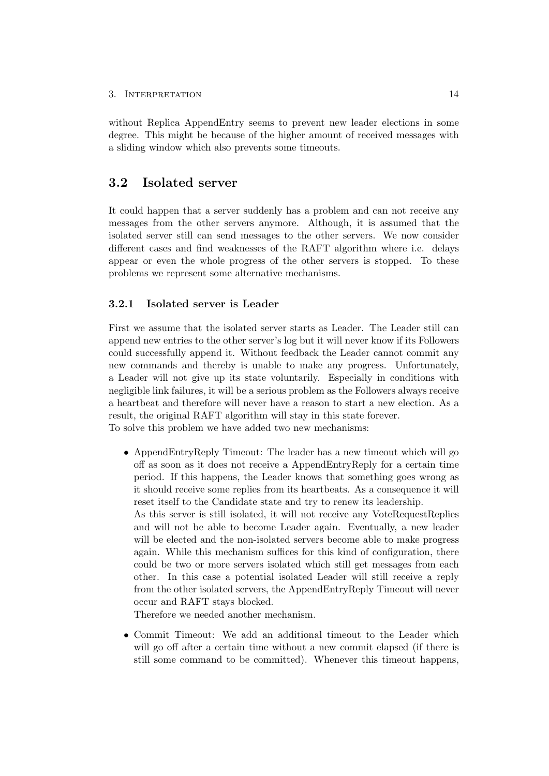without Replica AppendEntry seems to prevent new leader elections in some degree. This might be because of the higher amount of received messages with a sliding window which also prevents some timeouts.

## <span id="page-18-0"></span>3.2 Isolated server

It could happen that a server suddenly has a problem and can not receive any messages from the other servers anymore. Although, it is assumed that the isolated server still can send messages to the other servers. We now consider different cases and find weaknesses of the RAFT algorithm where i.e. delays appear or even the whole progress of the other servers is stopped. To these problems we represent some alternative mechanisms.

## <span id="page-18-1"></span>3.2.1 Isolated server is Leader

First we assume that the isolated server starts as Leader. The Leader still can append new entries to the other server's log but it will never know if its Followers could successfully append it. Without feedback the Leader cannot commit any new commands and thereby is unable to make any progress. Unfortunately, a Leader will not give up its state voluntarily. Especially in conditions with negligible link failures, it will be a serious problem as the Followers always receive a heartbeat and therefore will never have a reason to start a new election. As a result, the original RAFT algorithm will stay in this state forever. To solve this problem we have added two new mechanisms:

• AppendEntryReply Timeout: The leader has a new timeout which will go off as soon as it does not receive a AppendEntryReply for a certain time period. If this happens, the Leader knows that something goes wrong as it should receive some replies from its heartbeats. As a consequence it will reset itself to the Candidate state and try to renew its leadership. As this server is still isolated, it will not receive any VoteRequestReplies

and will not be able to become Leader again. Eventually, a new leader will be elected and the non-isolated servers become able to make progress again. While this mechanism suffices for this kind of configuration, there could be two or more servers isolated which still get messages from each other. In this case a potential isolated Leader will still receive a reply from the other isolated servers, the AppendEntryReply Timeout will never occur and RAFT stays blocked.

Therefore we needed another mechanism.

• Commit Timeout: We add an additional timeout to the Leader which will go off after a certain time without a new commit elapsed (if there is still some command to be committed). Whenever this timeout happens,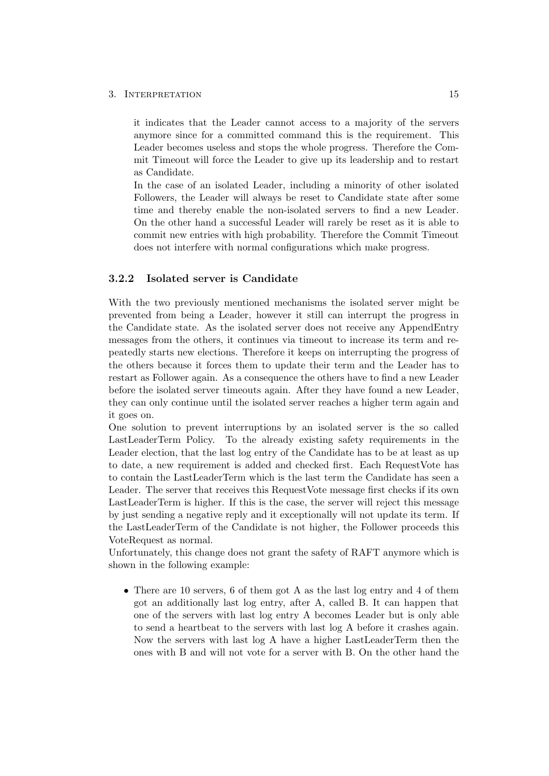it indicates that the Leader cannot access to a majority of the servers anymore since for a committed command this is the requirement. This Leader becomes useless and stops the whole progress. Therefore the Commit Timeout will force the Leader to give up its leadership and to restart as Candidate.

In the case of an isolated Leader, including a minority of other isolated Followers, the Leader will always be reset to Candidate state after some time and thereby enable the non-isolated servers to find a new Leader. On the other hand a successful Leader will rarely be reset as it is able to commit new entries with high probability. Therefore the Commit Timeout does not interfere with normal configurations which make progress.

## <span id="page-19-0"></span>3.2.2 Isolated server is Candidate

With the two previously mentioned mechanisms the isolated server might be prevented from being a Leader, however it still can interrupt the progress in the Candidate state. As the isolated server does not receive any AppendEntry messages from the others, it continues via timeout to increase its term and repeatedly starts new elections. Therefore it keeps on interrupting the progress of the others because it forces them to update their term and the Leader has to restart as Follower again. As a consequence the others have to find a new Leader before the isolated server timeouts again. After they have found a new Leader, they can only continue until the isolated server reaches a higher term again and it goes on.

One solution to prevent interruptions by an isolated server is the so called LastLeaderTerm Policy. To the already existing safety requirements in the Leader election, that the last log entry of the Candidate has to be at least as up to date, a new requirement is added and checked first. Each RequestVote has to contain the LastLeaderTerm which is the last term the Candidate has seen a Leader. The server that receives this RequestVote message first checks if its own LastLeaderTerm is higher. If this is the case, the server will reject this message by just sending a negative reply and it exceptionally will not update its term. If the LastLeaderTerm of the Candidate is not higher, the Follower proceeds this VoteRequest as normal.

Unfortunately, this change does not grant the safety of RAFT anymore which is shown in the following example:

• There are 10 servers, 6 of them got A as the last log entry and 4 of them got an additionally last log entry, after A, called B. It can happen that one of the servers with last log entry A becomes Leader but is only able to send a heartbeat to the servers with last log A before it crashes again. Now the servers with last log A have a higher LastLeaderTerm then the ones with B and will not vote for a server with B. On the other hand the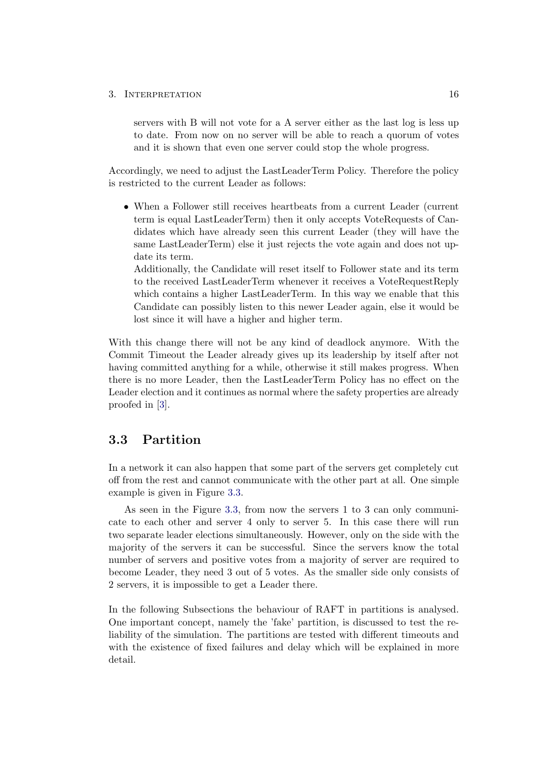servers with B will not vote for a A server either as the last log is less up to date. From now on no server will be able to reach a quorum of votes and it is shown that even one server could stop the whole progress.

Accordingly, we need to adjust the LastLeaderTerm Policy. Therefore the policy is restricted to the current Leader as follows:

• When a Follower still receives heartbeats from a current Leader (current term is equal LastLeaderTerm) then it only accepts VoteRequests of Candidates which have already seen this current Leader (they will have the same LastLeaderTerm) else it just rejects the vote again and does not update its term.

Additionally, the Candidate will reset itself to Follower state and its term to the received LastLeaderTerm whenever it receives a VoteRequestReply which contains a higher LastLeaderTerm. In this way we enable that this Candidate can possibly listen to this newer Leader again, else it would be lost since it will have a higher and higher term.

With this change there will not be any kind of deadlock anymore. With the Commit Timeout the Leader already gives up its leadership by itself after not having committed anything for a while, otherwise it still makes progress. When there is no more Leader, then the LastLeaderTerm Policy has no effect on the Leader election and it continues as normal where the safety properties are already proofed in [\[3\]](#page-30-3).

# <span id="page-20-0"></span>3.3 Partition

In a network it can also happen that some part of the servers get completely cut off from the rest and cannot communicate with the other part at all. One simple example is given in Figure [3.3.](#page-21-1)

As seen in the Figure [3.3,](#page-21-1) from now the servers 1 to 3 can only communicate to each other and server 4 only to server 5. In this case there will run two separate leader elections simultaneously. However, only on the side with the majority of the servers it can be successful. Since the servers know the total number of servers and positive votes from a majority of server are required to become Leader, they need 3 out of 5 votes. As the smaller side only consists of 2 servers, it is impossible to get a Leader there.

In the following Subsections the behaviour of RAFT in partitions is analysed. One important concept, namely the 'fake' partition, is discussed to test the reliability of the simulation. The partitions are tested with different timeouts and with the existence of fixed failures and delay which will be explained in more detail.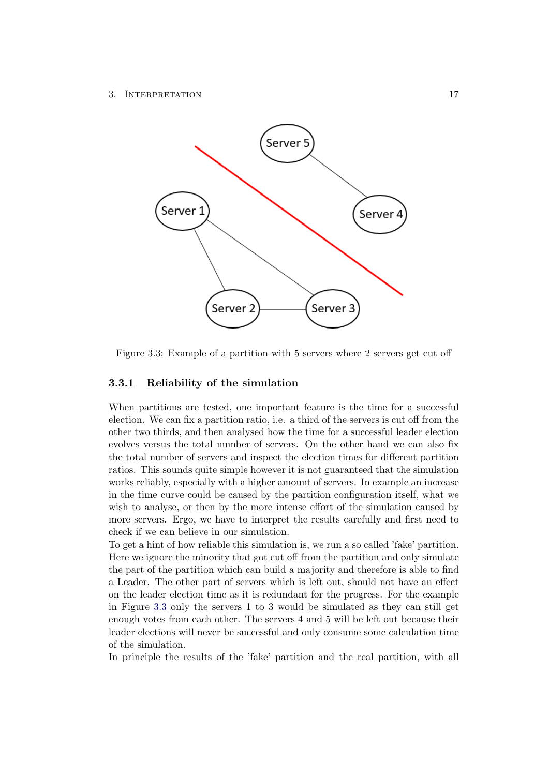

<span id="page-21-1"></span>Figure 3.3: Example of a partition with 5 servers where 2 servers get cut off

## <span id="page-21-0"></span>3.3.1 Reliability of the simulation

When partitions are tested, one important feature is the time for a successful election. We can fix a partition ratio, i.e. a third of the servers is cut off from the other two thirds, and then analysed how the time for a successful leader election evolves versus the total number of servers. On the other hand we can also fix the total number of servers and inspect the election times for different partition ratios. This sounds quite simple however it is not guaranteed that the simulation works reliably, especially with a higher amount of servers. In example an increase in the time curve could be caused by the partition configuration itself, what we wish to analyse, or then by the more intense effort of the simulation caused by more servers. Ergo, we have to interpret the results carefully and first need to check if we can believe in our simulation.

To get a hint of how reliable this simulation is, we run a so called 'fake' partition. Here we ignore the minority that got cut off from the partition and only simulate the part of the partition which can build a majority and therefore is able to find a Leader. The other part of servers which is left out, should not have an effect on the leader election time as it is redundant for the progress. For the example in Figure [3.3](#page-21-1) only the servers 1 to 3 would be simulated as they can still get enough votes from each other. The servers 4 and 5 will be left out because their leader elections will never be successful and only consume some calculation time of the simulation.

In principle the results of the 'fake' partition and the real partition, with all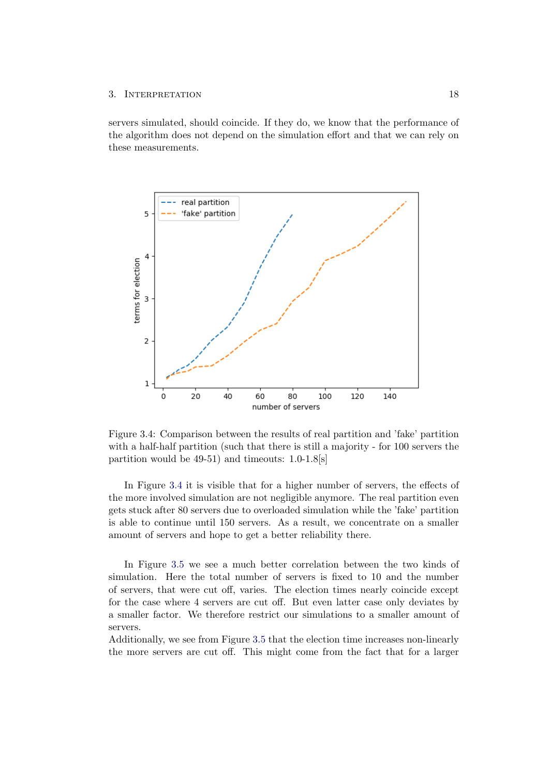servers simulated, should coincide. If they do, we know that the performance of the algorithm does not depend on the simulation effort and that we can rely on these measurements.



<span id="page-22-0"></span>Figure 3.4: Comparison between the results of real partition and 'fake' partition with a half-half partition (such that there is still a majority - for 100 servers the partition would be 49-51) and timeouts: 1.0-1.8[s]

In Figure [3.4](#page-22-0) it is visible that for a higher number of servers, the effects of the more involved simulation are not negligible anymore. The real partition even gets stuck after 80 servers due to overloaded simulation while the 'fake' partition is able to continue until 150 servers. As a result, we concentrate on a smaller amount of servers and hope to get a better reliability there.

In Figure [3.5](#page-23-1) we see a much better correlation between the two kinds of simulation. Here the total number of servers is fixed to 10 and the number of servers, that were cut off, varies. The election times nearly coincide except for the case where 4 servers are cut off. But even latter case only deviates by a smaller factor. We therefore restrict our simulations to a smaller amount of servers.

Additionally, we see from Figure [3.5](#page-23-1) that the election time increases non-linearly the more servers are cut off. This might come from the fact that for a larger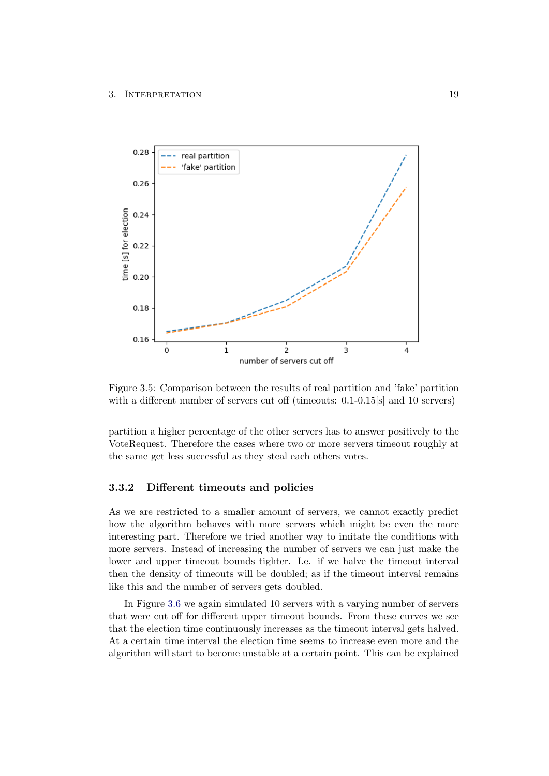

<span id="page-23-1"></span>Figure 3.5: Comparison between the results of real partition and 'fake' partition with a different number of servers cut off (timeouts: 0.1-0.15[s] and 10 servers)

partition a higher percentage of the other servers has to answer positively to the VoteRequest. Therefore the cases where two or more servers timeout roughly at the same get less successful as they steal each others votes.

### <span id="page-23-0"></span>3.3.2 Different timeouts and policies

As we are restricted to a smaller amount of servers, we cannot exactly predict how the algorithm behaves with more servers which might be even the more interesting part. Therefore we tried another way to imitate the conditions with more servers. Instead of increasing the number of servers we can just make the lower and upper timeout bounds tighter. I.e. if we halve the timeout interval then the density of timeouts will be doubled; as if the timeout interval remains like this and the number of servers gets doubled.

In Figure [3.6](#page-24-0) we again simulated 10 servers with a varying number of servers that were cut off for different upper timeout bounds. From these curves we see that the election time continuously increases as the timeout interval gets halved. At a certain time interval the election time seems to increase even more and the algorithm will start to become unstable at a certain point. This can be explained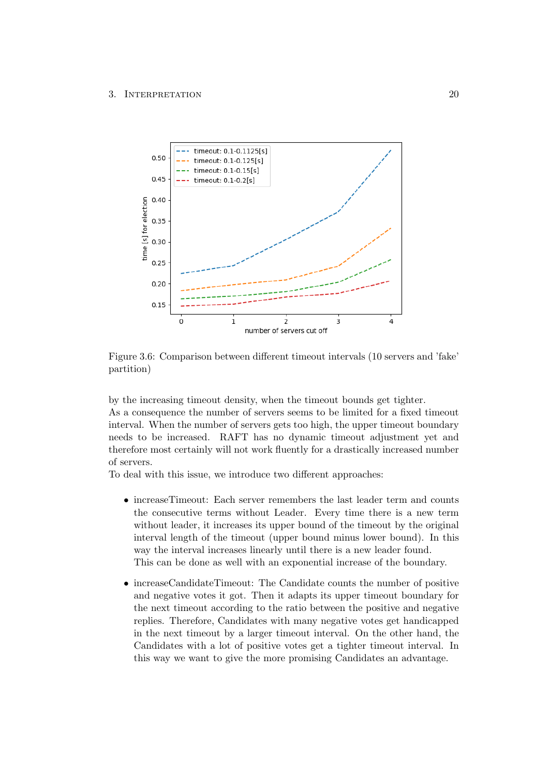

<span id="page-24-0"></span>Figure 3.6: Comparison between different timeout intervals (10 servers and 'fake' partition)

by the increasing timeout density, when the timeout bounds get tighter. As a consequence the number of servers seems to be limited for a fixed timeout interval. When the number of servers gets too high, the upper timeout boundary needs to be increased. RAFT has no dynamic timeout adjustment yet and therefore most certainly will not work fluently for a drastically increased number of servers.

To deal with this issue, we introduce two different approaches:

- increaseTimeout: Each server remembers the last leader term and counts the consecutive terms without Leader. Every time there is a new term without leader, it increases its upper bound of the timeout by the original interval length of the timeout (upper bound minus lower bound). In this way the interval increases linearly until there is a new leader found. This can be done as well with an exponential increase of the boundary.
- increaseCandidateTimeout: The Candidate counts the number of positive and negative votes it got. Then it adapts its upper timeout boundary for the next timeout according to the ratio between the positive and negative replies. Therefore, Candidates with many negative votes get handicapped in the next timeout by a larger timeout interval. On the other hand, the Candidates with a lot of positive votes get a tighter timeout interval. In this way we want to give the more promising Candidates an advantage.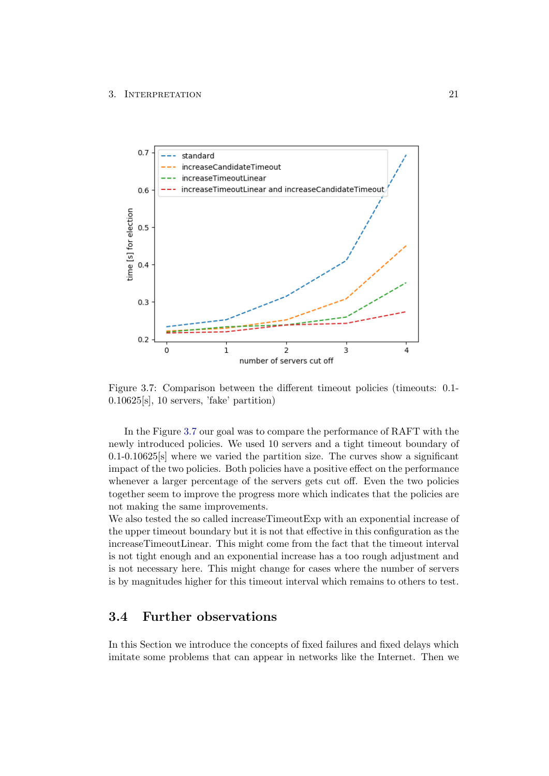

<span id="page-25-1"></span>Figure 3.7: Comparison between the different timeout policies (timeouts: 0.1- 0.10625[s], 10 servers, 'fake' partition)

In the Figure [3.7](#page-25-1) our goal was to compare the performance of RAFT with the newly introduced policies. We used 10 servers and a tight timeout boundary of 0.1-0.10625[s] where we varied the partition size. The curves show a significant impact of the two policies. Both policies have a positive effect on the performance whenever a larger percentage of the servers gets cut off. Even the two policies together seem to improve the progress more which indicates that the policies are not making the same improvements.

We also tested the so called increaseTimeoutExp with an exponential increase of the upper timeout boundary but it is not that effective in this configuration as the increaseTimeoutLinear. This might come from the fact that the timeout interval is not tight enough and an exponential increase has a too rough adjustment and is not necessary here. This might change for cases where the number of servers is by magnitudes higher for this timeout interval which remains to others to test.

# <span id="page-25-0"></span>3.4 Further observations

In this Section we introduce the concepts of fixed failures and fixed delays which imitate some problems that can appear in networks like the Internet. Then we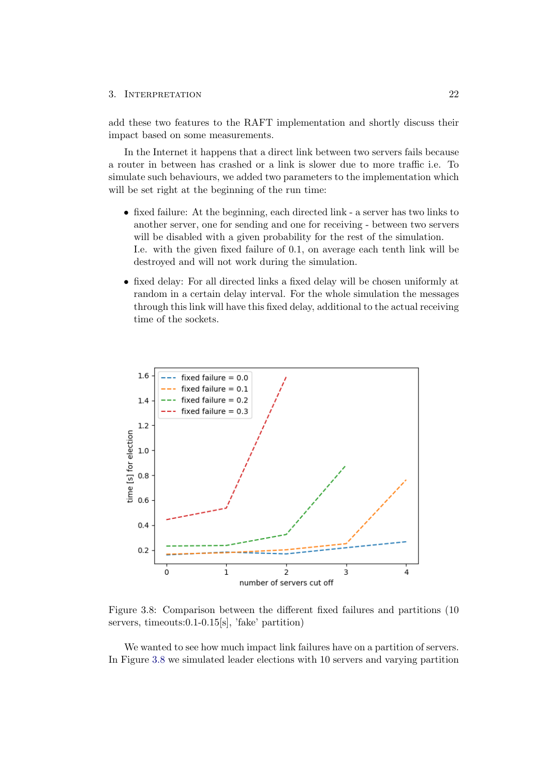add these two features to the RAFT implementation and shortly discuss their impact based on some measurements.

In the Internet it happens that a direct link between two servers fails because a router in between has crashed or a link is slower due to more traffic i.e. To simulate such behaviours, we added two parameters to the implementation which will be set right at the beginning of the run time:

- fixed failure: At the beginning, each directed link a server has two links to another server, one for sending and one for receiving - between two servers will be disabled with a given probability for the rest of the simulation. I.e. with the given fixed failure of 0.1, on average each tenth link will be destroyed and will not work during the simulation.
- fixed delay: For all directed links a fixed delay will be chosen uniformly at random in a certain delay interval. For the whole simulation the messages through this link will have this fixed delay, additional to the actual receiving time of the sockets.



<span id="page-26-0"></span>Figure 3.8: Comparison between the different fixed failures and partitions (10 servers, timeouts:0.1-0.15[s], 'fake' partition)

We wanted to see how much impact link failures have on a partition of servers. In Figure [3.8](#page-26-0) we simulated leader elections with 10 servers and varying partition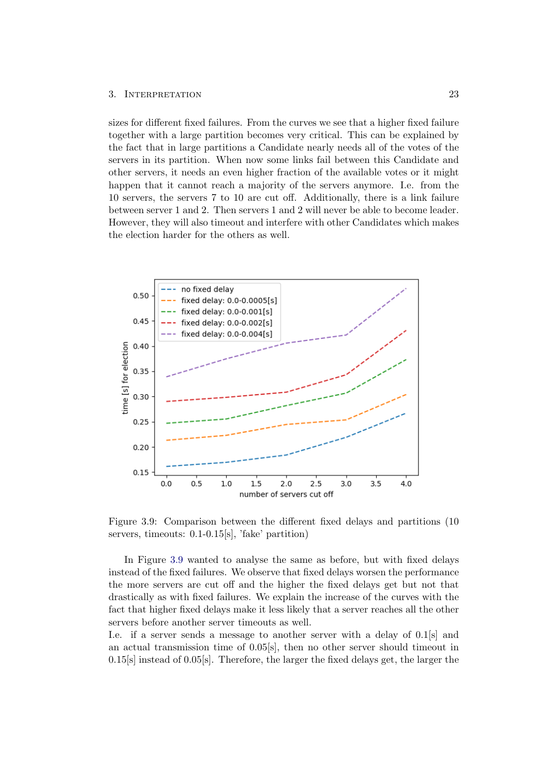sizes for different fixed failures. From the curves we see that a higher fixed failure together with a large partition becomes very critical. This can be explained by the fact that in large partitions a Candidate nearly needs all of the votes of the servers in its partition. When now some links fail between this Candidate and other servers, it needs an even higher fraction of the available votes or it might happen that it cannot reach a majority of the servers anymore. I.e. from the 10 servers, the servers 7 to 10 are cut off. Additionally, there is a link failure between server 1 and 2. Then servers 1 and 2 will never be able to become leader. However, they will also timeout and interfere with other Candidates which makes the election harder for the others as well.



<span id="page-27-0"></span>Figure 3.9: Comparison between the different fixed delays and partitions (10 servers, timeouts: 0.1-0.15[s], 'fake' partition)

In Figure [3.9](#page-27-0) wanted to analyse the same as before, but with fixed delays instead of the fixed failures. We observe that fixed delays worsen the performance the more servers are cut off and the higher the fixed delays get but not that drastically as with fixed failures. We explain the increase of the curves with the fact that higher fixed delays make it less likely that a server reaches all the other servers before another server timeouts as well.

I.e. if a server sends a message to another server with a delay of 0.1[s] and an actual transmission time of 0.05[s], then no other server should timeout in  $0.15[s]$  instead of  $0.05[s]$ . Therefore, the larger the fixed delays get, the larger the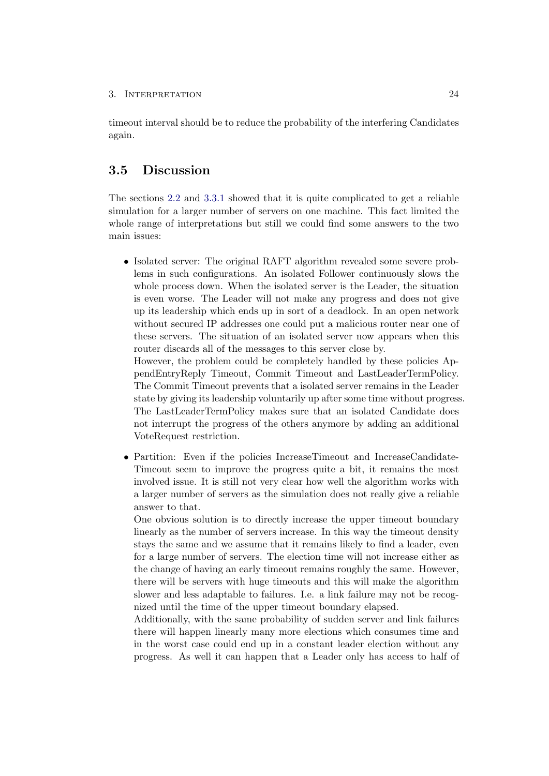timeout interval should be to reduce the probability of the interfering Candidates again.

# <span id="page-28-0"></span>3.5 Discussion

The sections [2.2](#page-10-0) and [3.3.1](#page-21-0) showed that it is quite complicated to get a reliable simulation for a larger number of servers on one machine. This fact limited the whole range of interpretations but still we could find some answers to the two main issues:

• Isolated server: The original RAFT algorithm revealed some severe problems in such configurations. An isolated Follower continuously slows the whole process down. When the isolated server is the Leader, the situation is even worse. The Leader will not make any progress and does not give up its leadership which ends up in sort of a deadlock. In an open network without secured IP addresses one could put a malicious router near one of these servers. The situation of an isolated server now appears when this router discards all of the messages to this server close by.

However, the problem could be completely handled by these policies AppendEntryReply Timeout, Commit Timeout and LastLeaderTermPolicy. The Commit Timeout prevents that a isolated server remains in the Leader state by giving its leadership voluntarily up after some time without progress. The LastLeaderTermPolicy makes sure that an isolated Candidate does not interrupt the progress of the others anymore by adding an additional VoteRequest restriction.

• Partition: Even if the policies IncreaseTimeout and IncreaseCandidate-Timeout seem to improve the progress quite a bit, it remains the most involved issue. It is still not very clear how well the algorithm works with a larger number of servers as the simulation does not really give a reliable answer to that.

One obvious solution is to directly increase the upper timeout boundary linearly as the number of servers increase. In this way the timeout density stays the same and we assume that it remains likely to find a leader, even for a large number of servers. The election time will not increase either as the change of having an early timeout remains roughly the same. However, there will be servers with huge timeouts and this will make the algorithm slower and less adaptable to failures. I.e. a link failure may not be recognized until the time of the upper timeout boundary elapsed.

Additionally, with the same probability of sudden server and link failures there will happen linearly many more elections which consumes time and in the worst case could end up in a constant leader election without any progress. As well it can happen that a Leader only has access to half of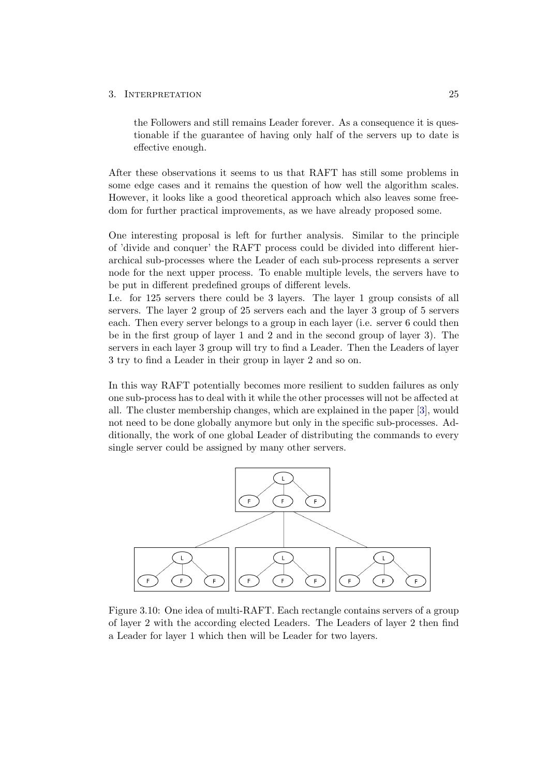the Followers and still remains Leader forever. As a consequence it is questionable if the guarantee of having only half of the servers up to date is effective enough.

After these observations it seems to us that RAFT has still some problems in some edge cases and it remains the question of how well the algorithm scales. However, it looks like a good theoretical approach which also leaves some freedom for further practical improvements, as we have already proposed some.

One interesting proposal is left for further analysis. Similar to the principle of 'divide and conquer' the RAFT process could be divided into different hierarchical sub-processes where the Leader of each sub-process represents a server node for the next upper process. To enable multiple levels, the servers have to be put in different predefined groups of different levels.

I.e. for 125 servers there could be 3 layers. The layer 1 group consists of all servers. The layer 2 group of 25 servers each and the layer 3 group of 5 servers each. Then every server belongs to a group in each layer (i.e. server 6 could then be in the first group of layer 1 and 2 and in the second group of layer 3). The servers in each layer 3 group will try to find a Leader. Then the Leaders of layer 3 try to find a Leader in their group in layer 2 and so on.

In this way RAFT potentially becomes more resilient to sudden failures as only one sub-process has to deal with it while the other processes will not be affected at all. The cluster membership changes, which are explained in the paper [\[3\]](#page-30-3), would not need to be done globally anymore but only in the specific sub-processes. Additionally, the work of one global Leader of distributing the commands to every single server could be assigned by many other servers.



Figure 3.10: One idea of multi-RAFT. Each rectangle contains servers of a group of layer 2 with the according elected Leaders. The Leaders of layer 2 then find a Leader for layer 1 which then will be Leader for two layers.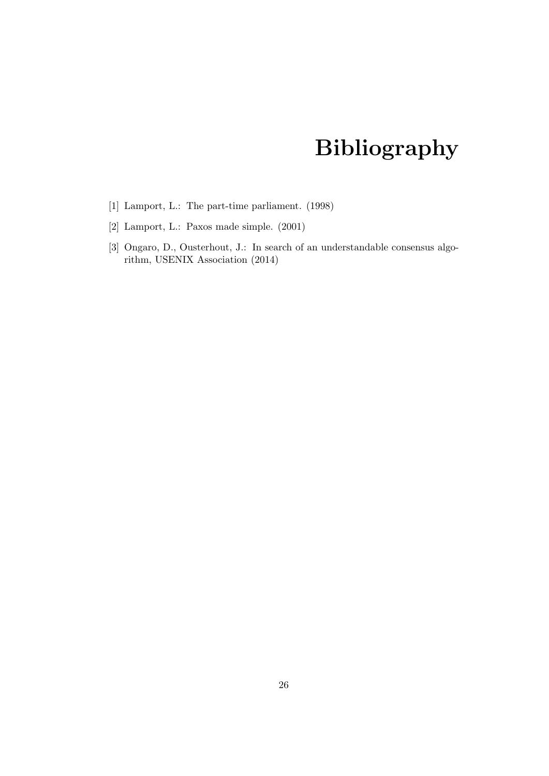# Bibliography

- <span id="page-30-1"></span><span id="page-30-0"></span>[1] Lamport, L.: The part-time parliament. (1998)
- <span id="page-30-2"></span>[2] Lamport, L.: Paxos made simple. (2001)
- <span id="page-30-3"></span>[3] Ongaro, D., Ousterhout, J.: In search of an understandable consensus algorithm, USENIX Association (2014)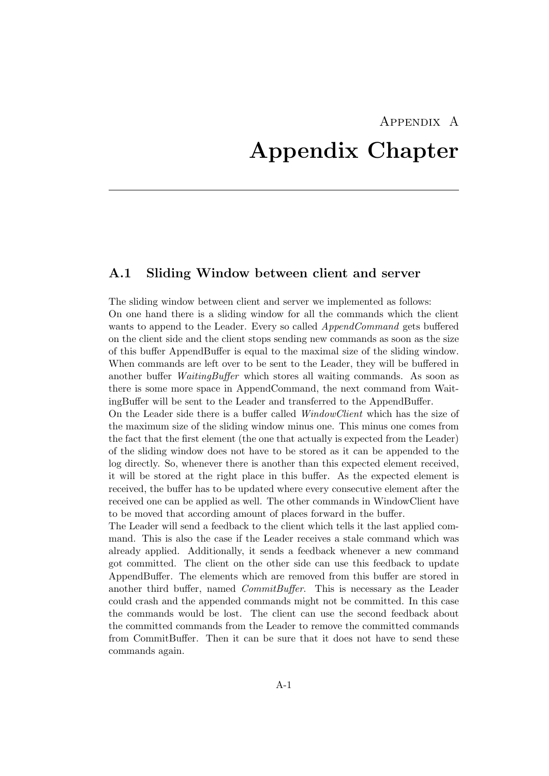# <span id="page-31-0"></span>Appendix A Appendix Chapter

# <span id="page-31-1"></span>A.1 Sliding Window between client and server

The sliding window between client and server we implemented as follows: On one hand there is a sliding window for all the commands which the client wants to append to the Leader. Every so called *AppendCommand* gets buffered on the client side and the client stops sending new commands as soon as the size of this buffer AppendBuffer is equal to the maximal size of the sliding window. When commands are left over to be sent to the Leader, they will be buffered in another buffer *WaitingBuffer* which stores all waiting commands. As soon as there is some more space in AppendCommand, the next command from WaitingBuffer will be sent to the Leader and transferred to the AppendBuffer.

On the Leader side there is a buffer called WindowClient which has the size of the maximum size of the sliding window minus one. This minus one comes from the fact that the first element (the one that actually is expected from the Leader) of the sliding window does not have to be stored as it can be appended to the log directly. So, whenever there is another than this expected element received, it will be stored at the right place in this buffer. As the expected element is received, the buffer has to be updated where every consecutive element after the received one can be applied as well. The other commands in WindowClient have to be moved that according amount of places forward in the buffer.

The Leader will send a feedback to the client which tells it the last applied command. This is also the case if the Leader receives a stale command which was already applied. Additionally, it sends a feedback whenever a new command got committed. The client on the other side can use this feedback to update AppendBuffer. The elements which are removed from this buffer are stored in another third buffer, named *CommitBuffer*. This is necessary as the Leader could crash and the appended commands might not be committed. In this case the commands would be lost. The client can use the second feedback about the committed commands from the Leader to remove the committed commands from CommitBuffer. Then it can be sure that it does not have to send these commands again.